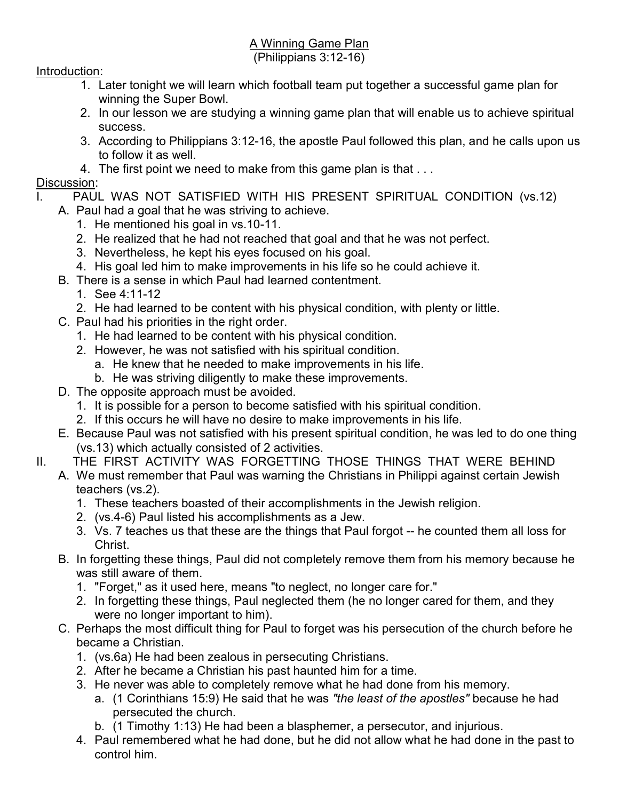## A Winning Game Plan

(Philippians 3:12-16)

## Introduction:

- 1. Later tonight we will learn which football team put together a successful game plan for winning the Super Bowl.
- 2. In our lesson we are studying a winning game plan that will enable us to achieve spiritual success.
- 3. According to Philippians 3:12-16, the apostle Paul followed this plan, and he calls upon us to follow it as well.
- 4. The first point we need to make from this game plan is that . . .

## Discussion:

- I. PAUL WAS NOT SATISFIED WITH HIS PRESENT SPIRITUAL CONDITION (vs.12)
	- A. Paul had a goal that he was striving to achieve.
		- 1. He mentioned his goal in vs.10-11.
		- 2. He realized that he had not reached that goal and that he was not perfect.
		- 3. Nevertheless, he kept his eyes focused on his goal.
		- 4. His goal led him to make improvements in his life so he could achieve it.
	- B. There is a sense in which Paul had learned contentment.
		- 1. See 4:11-12
			- 2. He had learned to be content with his physical condition, with plenty or little.
	- C. Paul had his priorities in the right order.
		- 1. He had learned to be content with his physical condition.
		- 2. However, he was not satisfied with his spiritual condition.
			- a. He knew that he needed to make improvements in his life.
			- b. He was striving diligently to make these improvements.
	- D. The opposite approach must be avoided.
		- 1. It is possible for a person to become satisfied with his spiritual condition.
		- 2. If this occurs he will have no desire to make improvements in his life.
	- E. Because Paul was not satisfied with his present spiritual condition, he was led to do one thing (vs.13) which actually consisted of 2 activities.
- II. THE FIRST ACTIVITY WAS FORGETTING THOSE THINGS THAT WERE BEHIND
	- A. We must remember that Paul was warning the Christians in Philippi against certain Jewish teachers (vs.2).
		- 1. These teachers boasted of their accomplishments in the Jewish religion.
		- 2. (vs.4-6) Paul listed his accomplishments as a Jew.
		- 3. Vs. 7 teaches us that these are the things that Paul forgot -- he counted them all loss for Christ.
	- B. In forgetting these things, Paul did not completely remove them from his memory because he was still aware of them.
		- 1. "Forget," as it used here, means "to neglect, no longer care for."
		- 2. In forgetting these things, Paul neglected them (he no longer cared for them, and they were no longer important to him).
	- C. Perhaps the most difficult thing for Paul to forget was his persecution of the church before he became a Christian.
		- 1. (vs.6a) He had been zealous in persecuting Christians.
		- 2. After he became a Christian his past haunted him for a time.
		- 3. He never was able to completely remove what he had done from his memory.
			- a. (1 Corinthians 15:9) He said that he was "the least of the apostles" because he had persecuted the church.
			- b. (1 Timothy 1:13) He had been a blasphemer, a persecutor, and injurious.
		- 4. Paul remembered what he had done, but he did not allow what he had done in the past to control him.